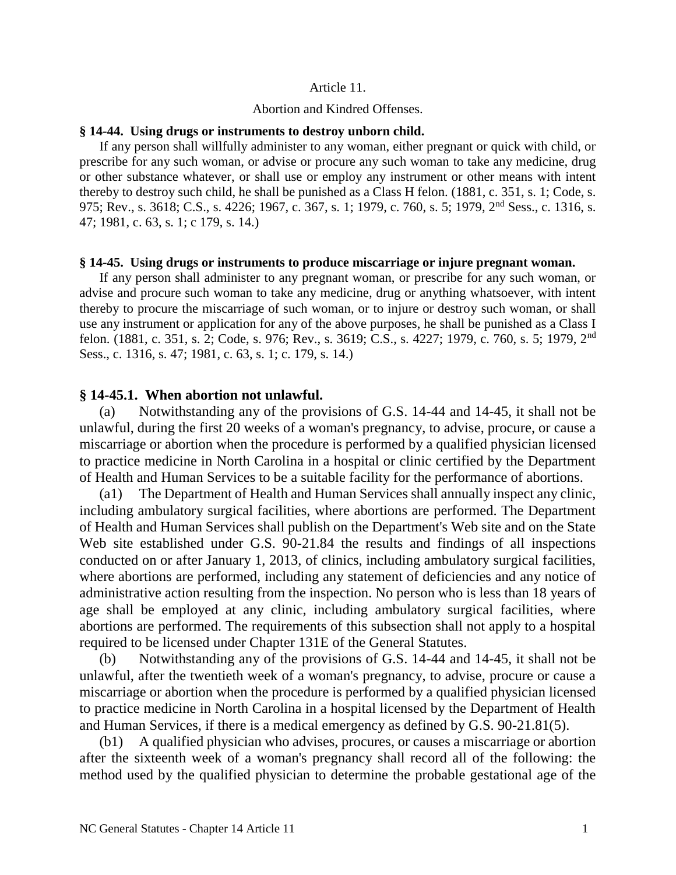#### Article 11.

#### Abortion and Kindred Offenses.

#### **§ 14-44. Using drugs or instruments to destroy unborn child.**

If any person shall willfully administer to any woman, either pregnant or quick with child, or prescribe for any such woman, or advise or procure any such woman to take any medicine, drug or other substance whatever, or shall use or employ any instrument or other means with intent thereby to destroy such child, he shall be punished as a Class H felon. (1881, c. 351, s. 1; Code, s. 975; Rev., s. 3618; C.S., s. 4226; 1967, c. 367, s. 1; 1979, c. 760, s. 5; 1979, 2nd Sess., c. 1316, s. 47; 1981, c. 63, s. 1; c 179, s. 14.)

#### **§ 14-45. Using drugs or instruments to produce miscarriage or injure pregnant woman.**

If any person shall administer to any pregnant woman, or prescribe for any such woman, or advise and procure such woman to take any medicine, drug or anything whatsoever, with intent thereby to procure the miscarriage of such woman, or to injure or destroy such woman, or shall use any instrument or application for any of the above purposes, he shall be punished as a Class I felon. (1881, c. 351, s. 2; Code, s. 976; Rev., s. 3619; C.S., s. 4227; 1979, c. 760, s. 5; 1979, 2nd Sess., c. 1316, s. 47; 1981, c. 63, s. 1; c. 179, s. 14.)

### **§ 14-45.1. When abortion not unlawful.**

(a) Notwithstanding any of the provisions of G.S. 14-44 and 14-45, it shall not be unlawful, during the first 20 weeks of a woman's pregnancy, to advise, procure, or cause a miscarriage or abortion when the procedure is performed by a qualified physician licensed to practice medicine in North Carolina in a hospital or clinic certified by the Department of Health and Human Services to be a suitable facility for the performance of abortions.

(a1) The Department of Health and Human Services shall annually inspect any clinic, including ambulatory surgical facilities, where abortions are performed. The Department of Health and Human Services shall publish on the Department's Web site and on the State Web site established under G.S. 90-21.84 the results and findings of all inspections conducted on or after January 1, 2013, of clinics, including ambulatory surgical facilities, where abortions are performed, including any statement of deficiencies and any notice of administrative action resulting from the inspection. No person who is less than 18 years of age shall be employed at any clinic, including ambulatory surgical facilities, where abortions are performed. The requirements of this subsection shall not apply to a hospital required to be licensed under Chapter 131E of the General Statutes.

(b) Notwithstanding any of the provisions of G.S. 14-44 and 14-45, it shall not be unlawful, after the twentieth week of a woman's pregnancy, to advise, procure or cause a miscarriage or abortion when the procedure is performed by a qualified physician licensed to practice medicine in North Carolina in a hospital licensed by the Department of Health and Human Services, if there is a medical emergency as defined by G.S. 90-21.81(5).

(b1) A qualified physician who advises, procures, or causes a miscarriage or abortion after the sixteenth week of a woman's pregnancy shall record all of the following: the method used by the qualified physician to determine the probable gestational age of the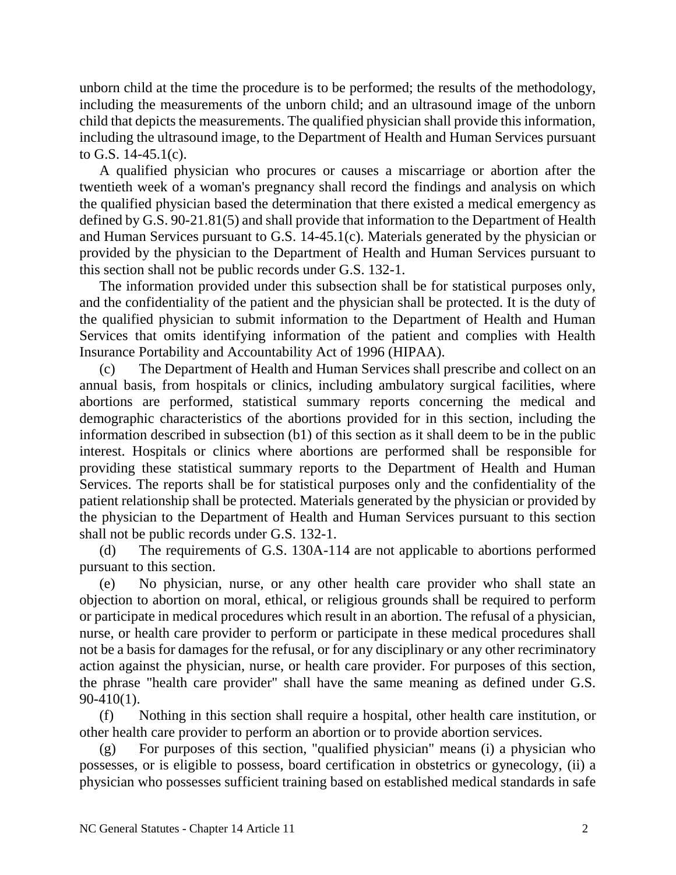unborn child at the time the procedure is to be performed; the results of the methodology, including the measurements of the unborn child; and an ultrasound image of the unborn child that depicts the measurements. The qualified physician shall provide this information, including the ultrasound image, to the Department of Health and Human Services pursuant to G.S. 14-45.1(c).

A qualified physician who procures or causes a miscarriage or abortion after the twentieth week of a woman's pregnancy shall record the findings and analysis on which the qualified physician based the determination that there existed a medical emergency as defined by G.S. 90-21.81(5) and shall provide that information to the Department of Health and Human Services pursuant to G.S. 14-45.1(c). Materials generated by the physician or provided by the physician to the Department of Health and Human Services pursuant to this section shall not be public records under G.S. 132-1.

The information provided under this subsection shall be for statistical purposes only, and the confidentiality of the patient and the physician shall be protected. It is the duty of the qualified physician to submit information to the Department of Health and Human Services that omits identifying information of the patient and complies with Health Insurance Portability and Accountability Act of 1996 (HIPAA).

(c) The Department of Health and Human Services shall prescribe and collect on an annual basis, from hospitals or clinics, including ambulatory surgical facilities, where abortions are performed, statistical summary reports concerning the medical and demographic characteristics of the abortions provided for in this section, including the information described in subsection (b1) of this section as it shall deem to be in the public interest. Hospitals or clinics where abortions are performed shall be responsible for providing these statistical summary reports to the Department of Health and Human Services. The reports shall be for statistical purposes only and the confidentiality of the patient relationship shall be protected. Materials generated by the physician or provided by the physician to the Department of Health and Human Services pursuant to this section shall not be public records under G.S. 132-1.

(d) The requirements of G.S. 130A-114 are not applicable to abortions performed pursuant to this section.

(e) No physician, nurse, or any other health care provider who shall state an objection to abortion on moral, ethical, or religious grounds shall be required to perform or participate in medical procedures which result in an abortion. The refusal of a physician, nurse, or health care provider to perform or participate in these medical procedures shall not be a basis for damages for the refusal, or for any disciplinary or any other recriminatory action against the physician, nurse, or health care provider. For purposes of this section, the phrase "health care provider" shall have the same meaning as defined under G.S. 90-410(1).

(f) Nothing in this section shall require a hospital, other health care institution, or other health care provider to perform an abortion or to provide abortion services.

(g) For purposes of this section, "qualified physician" means (i) a physician who possesses, or is eligible to possess, board certification in obstetrics or gynecology, (ii) a physician who possesses sufficient training based on established medical standards in safe